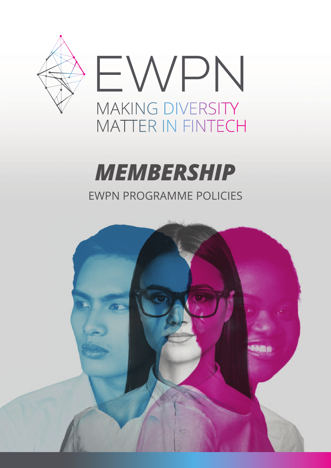

### **MEMBERSHIP EWPN PROGRAMME POLICIES**

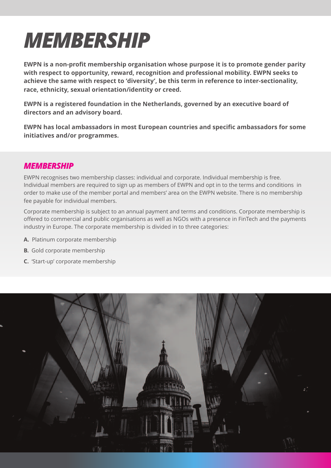## *MEMBERSHIP*

**EWPN is a non-profit membership organisation whose purpose it is to promote gender parity with respect to opportunity, reward, recognition and professional mobility. EWPN seeks to achieve the same with respect to 'diversity', be this term in reference to inter-sectionality, race, ethnicity, sexual orientation/identity or creed.** 

**EWPN is a registered foundation in the Netherlands, governed by an executive board of directors and an advisory board.** 

**EWPN has local ambassadors in most European countries and specific ambassadors for some initiatives and/or programmes.** 

#### *MEMBERSHIP*

EWPN recognises two membership classes: individual and corporate. individual membership is free. individual members are required to sign up as members of EWPN and opt in to the terms and conditions in order to make use of the member portal and members' area on the EWPN website. There is no membership fee payable for individual members.

corporate membership is subject to an annual payment and terms and conditions. corporate membership is offered to commercial and public organisations as well as Ngos with a presence in FinTech and the payments industry in Europe. The corporate membership is divided in to three categories:

- **A.** Platinum corporate membership
- **B.** Gold corporate membership
- **C.** 'Start-up' corporate membership

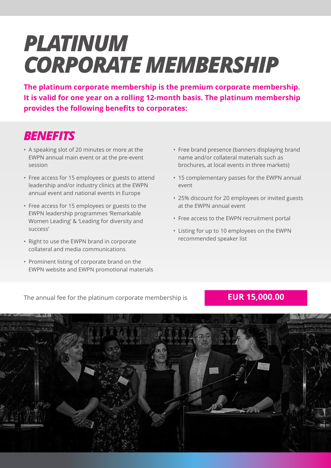## *PLATINUM CORPORATE MEMBERSHIP*

**The platinum corporate membership is the premium corporate membership. It is valid for one year on a rolling 12-month basis. The platinum membership provides the following benefits to corporates:**

### *BENEFITS*

- a speaking slot of 20 minutes or more at the EWPN annual main event or at the pre-event session
- Free access for 15 employees or guests to attend leadership and/or industry clinics at the EWPN annual event and national events in Europe
- Free access for 15 employees or guests to the EWPN leadership programmes 'Remarkable Women leading' & 'leading for diversity and success'
- Right to use the EWPN brand in corporate collateral and media communications
- Prominent listing of corporate brand on the EWPN website and EWPN promotional materials
- Free brand presence (banners displaying brand name and/or collateral materials such as brochures, at local events in three markets)
- 15 complementary passes for the EWPN annual event
- 25% discount for 20 employees or invited guests at the EWPN annual event
- Free access to the EWPN recruitment portal
- listing for up to 10 employees on the EWPN recommended speaker list

The annual fee for the platinum corporate membership is **EUR 15,000.00**

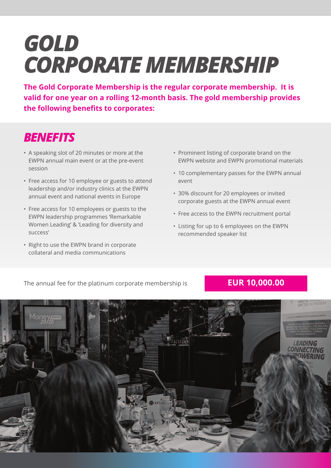# *GOLD CORPORATE MEMBERSHIP*

**The Gold Corporate Membership is the regular corporate membership. It is valid for one year on a rolling 12-month basis. The gold membership provides the following benefits to corporates:**

#### *BENEFITS*

- a speaking slot of 20 minutes or more at the EWPN annual main event or at the pre-event session
- Free access for 10 employee or guests to attend leadership and/or industry clinics at the EWPN annual event and national events in Europe
- Free access for 10 employees or guests to the EWPN leadership programmes 'Remarkable Women leading' & 'leading for diversity and success'
- Right to use the EWPN brand in corporate collateral and media communications
- Prominent listing of corporate brand on the EWPN website and EWPN promotional materials
- 10 complementary passes for the EWPN annual event
- 30% discount for 20 employees or invited corporate guests at the EWPN annual event
- Free access to the EWPN recruitment portal
- listing for up to 6 employees on the EWPN recommended speaker list

The annual fee for the platinum corporate membership is **EUR 10,000.00**